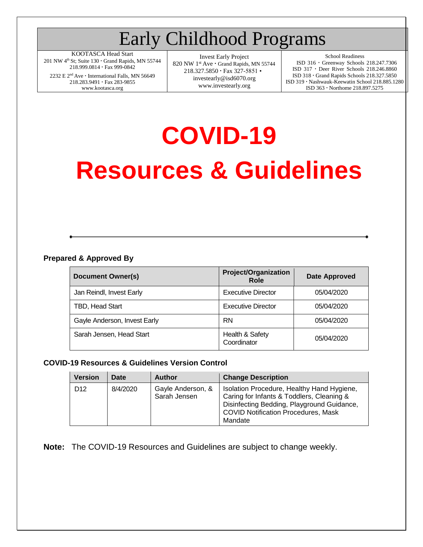## Early Childhood Programs

KOOTASCA Head Start 201 NW  $4<sup>th</sup>$  St; Suite 130  $\cdot$  Grand Rapids, MN 55744 218.999.0814 · Fax 999-0842

2232 E $2^{\rm nd}$  Ave  $\cdot$  International Falls, MN 56649 218.283.9491 · Fax 283-9855 [www.kootasca.org](http://www.kootasca.org/)

Invest Early Project 820 NW 1<sup>st</sup> Ave · Grand Rapids, MN 55744 218.327.5850 · Fax 327-5851 • [investearly@isd6070.org](mailto:investearly@isd6070.org) [www.investearly.org](http://www.investearly.org/)

School Readiness

ISD 316 Greenway Schools 218.247.7306 ISD 317 Deer River Schools 218.246.8860 ISD 318 Grand Rapids Schools 218.327.5850 ISD 319 Nashwauk-Keewatin School 218.885.1280 ISD 363 Northome 218.897.5275

# **COVID-19 Resources & Guidelines**

#### **Prepared & Approved By**

| <b>Document Owner(s)</b>     | <b>Project/Organization</b><br><b>Role</b> | <b>Date Approved</b> |  |  |
|------------------------------|--------------------------------------------|----------------------|--|--|
| Jan Reindl, Invest Early     | <b>Executive Director</b>                  | 05/04/2020           |  |  |
| TBD, Head Start              | <b>Executive Director</b>                  | 05/04/2020           |  |  |
| Gayle Anderson, Invest Early | <b>RN</b>                                  | 05/04/2020           |  |  |
| Sarah Jensen, Head Start     | Health & Safety<br>Coordinator             | 05/04/2020           |  |  |

#### **COVID-19 Resources & Guidelines Version Control**

| <b>Version</b>  | Date     | <b>Author</b>                     | <b>Change Description</b>                                                                                                                                                                      |
|-----------------|----------|-----------------------------------|------------------------------------------------------------------------------------------------------------------------------------------------------------------------------------------------|
| D <sub>12</sub> | 8/4/2020 | Gayle Anderson, &<br>Sarah Jensen | Isolation Procedure, Healthy Hand Hygiene,<br>Caring for Infants & Toddlers, Cleaning &<br>Disinfecting Bedding, Playground Guidance,<br><b>COVID Notification Procedures, Mask</b><br>Mandate |

**Note:** The COVID-19 Resources and Guidelines are subject to change weekly.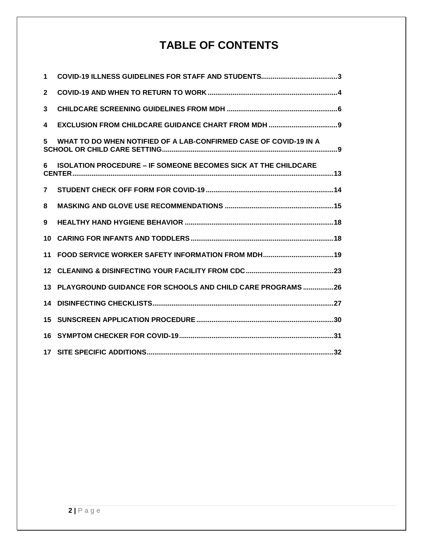## **TABLE OF CONTENTS**

| 1              |                                                                       |  |
|----------------|-----------------------------------------------------------------------|--|
| $\mathbf{2}$   |                                                                       |  |
| 3              |                                                                       |  |
| 4              |                                                                       |  |
| 5.             | WHAT TO DO WHEN NOTIFIED OF A LAB-CONFIRMED CASE OF COVID-19 IN A     |  |
| 6.             | <b>ISOLATION PROCEDURE - IF SOMEONE BECOMES SICK AT THE CHILDCARE</b> |  |
| $\overline{7}$ |                                                                       |  |
| 8              |                                                                       |  |
| 9              |                                                                       |  |
| 10             |                                                                       |  |
| 11             |                                                                       |  |
| $12 \,$        |                                                                       |  |
| 13             | PLAYGROUND GUIDANCE FOR SCHOOLS AND CHILD CARE PROGRAMS 26            |  |
| 14             |                                                                       |  |
| 15             |                                                                       |  |
| 16             |                                                                       |  |
|                |                                                                       |  |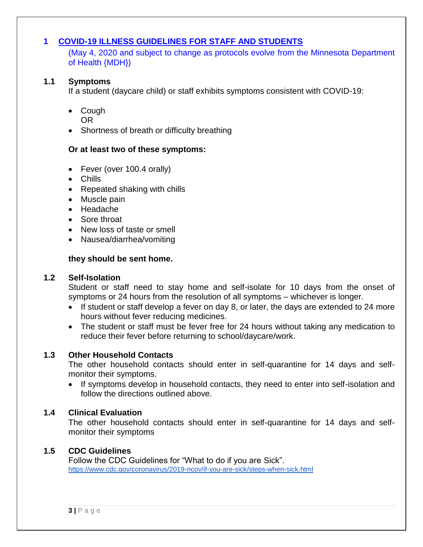#### <span id="page-2-0"></span>**1 COVID-19 ILLNESS GUIDELINES FOR STAFF AND STUDENTS**

(May 4, 2020 and subject to change as protocols evolve from the Minnesota Department of Health {MDH})

#### **1.1 Symptoms**

If a student (daycare child) or staff exhibits symptoms consistent with COVID-19:

- Cough OR
- Shortness of breath or difficulty breathing

#### **Or at least two of these symptoms:**

- Fever (over 100.4 orally)
- Chills
- Repeated shaking with chills
- Muscle pain
- Headache
- Sore throat
- New loss of taste or smell
- Nausea/diarrhea/vomiting

#### **they should be sent home.**

#### **1.2 Self-Isolation**

Student or staff need to stay home and self-isolate for 10 days from the onset of symptoms or 24 hours from the resolution of all symptoms – whichever is longer.

- If student or staff develop a fever on day 8, or later, the days are extended to 24 more hours without fever reducing medicines.
- The student or staff must be fever free for 24 hours without taking any medication to reduce their fever before returning to school/daycare/work.

#### **1.3 Other Household Contacts**

The other household contacts should enter in self-quarantine for 14 days and selfmonitor their symptoms.

• If symptoms develop in household contacts, they need to enter into self-isolation and follow the directions outlined above.

#### **1.4 Clinical Evaluation**

The other household contacts should enter in self-quarantine for 14 days and selfmonitor their symptoms

#### **1.5 CDC Guidelines**

Follow the CDC Guidelines for "What to do if you are Sick". <https://www.cdc.gov/coronavirus/2019-ncov/if-you-are-sick/steps-when-sick.html>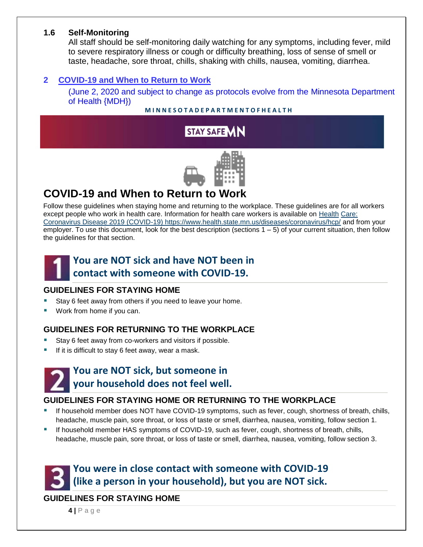#### **1.6 Self-Monitoring**

All staff should be self-monitoring daily watching for any symptoms, including fever, mild to severe respiratory illness or cough or difficulty breathing, loss of sense of smell or taste, headache, sore throat, chills, shaking with chills, nausea, vomiting, diarrhea.

#### <span id="page-3-0"></span>**2 COVID-19 and When to Return to Work**

(June 2, 2020 and subject to change as protocols evolve from the Minnesota Department of Health {MDH})

#### **M I N N E S O T A D E P A R T M E N T O F H E A L T H**



## **COVID-19 and When to Return to Work**

Follow these guidelines when staying home and returning to the workplace. These guidelines are for all workers except people who work in health care. Information for health care workers is available on Health Care: Coronavirus Disease 2019 (COVID-19) https://www.health.state.mn.us/diseases/coronavirus/hcp/ and from your employer. To use this document, look for the best description (sections 1 – 5) of your current situation, then follow the guidelines for that section.



### **You are NOT sick and have NOT been in contact with someone with COVID-19.**

#### **GUIDELINES FOR STAYING HOME**

- Stay 6 feet away from others if you need to leave your home.
- Work from home if you can.

#### **GUIDELINES FOR RETURNING TO THE WORKPLACE**

- Stay 6 feet away from co-workers and visitors if possible.
- If it is difficult to stay 6 feet away, wear a mask.



### **You are NOT sick, but someone in your household does not feel well.**

#### **GUIDELINES FOR STAYING HOME OR RETURNING TO THE WORKPLACE**

- If household member does NOT have COVID-19 symptoms, such as fever, cough, shortness of breath, chills, headache, muscle pain, sore throat, or loss of taste or smell, diarrhea, nausea, vomiting, follow section 1.
- If household member HAS symptoms of COVID-19, such as fever, cough, shortness of breath, chills, headache, muscle pain, sore throat, or loss of taste or smell, diarrhea, nausea, vomiting, follow section 3.

## **You were in close contact with someone with COVID-19 (like a person in your household), but you are NOT sick.**

#### **GUIDELINES FOR STAYING HOME**

**4 |** P a g e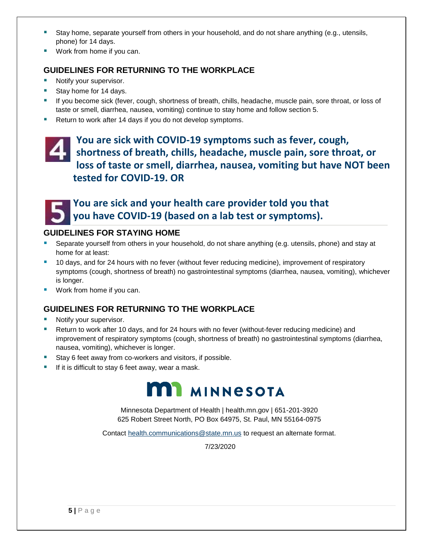- Stay home, separate yourself from others in your household, and do not share anything (e.g., utensils, phone) for 14 days.
- Work from home if you can.

#### **GUIDELINES FOR RETURNING TO THE WORKPLACE**

- Notify your supervisor.
- Stay home for 14 days.
- If you become sick (fever, cough, shortness of breath, chills, headache, muscle pain, sore throat, or loss of taste or smell, diarrhea, nausea, vomiting) continue to stay home and follow section 5.
- Return to work after 14 days if you do not develop symptoms.

### **You are sick with COVID-19 symptoms such as fever, cough, shortness of breath, chills, headache, muscle pain, sore throat, or loss of taste or smell, diarrhea, nausea, vomiting but have NOT been tested for COVID-19. OR**



### **You are sick and your health care provider told you that you have COVID-19 (based on a lab test or symptoms).**

#### **GUIDELINES FOR STAYING HOME**

- Separate yourself from others in your household, do not share anything (e.g. utensils, phone) and stay at home for at least:
- 10 days, and for 24 hours with no fever (without fever reducing medicine), improvement of respiratory symptoms (cough, shortness of breath) no gastrointestinal symptoms (diarrhea, nausea, vomiting), whichever is longer.
- Work from home if you can.

#### **GUIDELINES FOR RETURNING TO THE WORKPLACE**

- Notify your supervisor.
- Return to work after 10 days, and for 24 hours with no fever (without-fever reducing medicine) and improvement of respiratory symptoms (cough, shortness of breath) no gastrointestinal symptoms (diarrhea, nausea, vomiting), whichever is longer.
- Stay 6 feet away from co-workers and visitors, if possible.
- If it is difficult to stay 6 feet away, wear a mask.



Minnesota Department of Health | health.mn.gov | 651-201-3920 625 Robert Street North, PO Box 64975, St. Paul, MN 55164-0975

Contact health.communications@state.mn.us to request an alternate format.

7/23/2020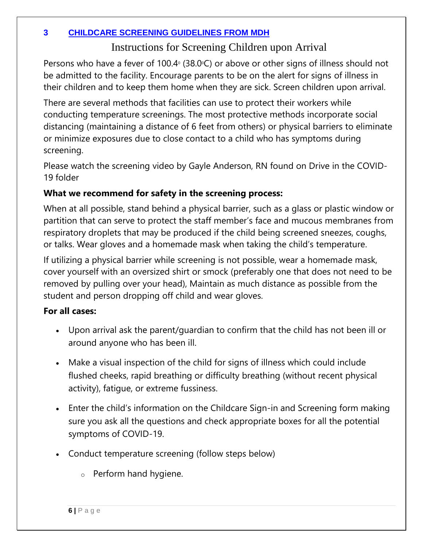### <span id="page-5-0"></span>**3 CHILDCARE SCREENING GUIDELINES FROM MDH**

### Instructions for Screening Children upon Arrival

Persons who have a fever of 100.4 $\textdegree$  (38.0 $\textdegree$ C) or above or other signs of illness should not be admitted to the facility. Encourage parents to be on the alert for signs of illness in their children and to keep them home when they are sick. Screen children upon arrival.

There are several methods that facilities can use to protect their workers while conducting temperature screenings. The most protective methods incorporate social distancing (maintaining a distance of 6 feet from others) or physical barriers to eliminate or minimize exposures due to close contact to a child who has symptoms during screening.

Please watch the screening video by Gayle Anderson, RN found on Drive in the COVID-19 folder

### **What we recommend for safety in the screening process:**

When at all possible, stand behind a physical barrier, such as a glass or plastic window or partition that can serve to protect the staff member's face and mucous membranes from respiratory droplets that may be produced if the child being screened sneezes, coughs, or talks. Wear gloves and a homemade mask when taking the child's temperature.

If utilizing a physical barrier while screening is not possible, wear a homemade mask, cover yourself with an oversized shirt or smock (preferably one that does not need to be removed by pulling over your head), Maintain as much distance as possible from the student and person dropping off child and wear gloves.

### **For all cases:**

- Upon arrival ask the parent/guardian to confirm that the child has not been ill or around anyone who has been ill.
- Make a visual inspection of the child for signs of illness which could include flushed cheeks, rapid breathing or difficulty breathing (without recent physical activity), fatigue, or extreme fussiness.
- Enter the child's information on the Childcare Sign-in and Screening form making sure you ask all the questions and check appropriate boxes for all the potential symptoms of COVID-19.
- Conduct temperature screening (follow steps below)
	- o Perform hand hygiene.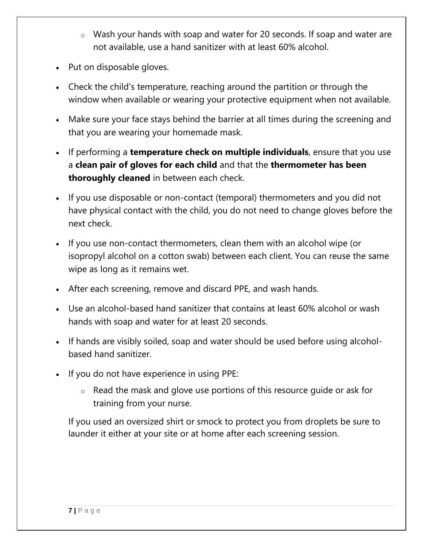- o Wash your hands with soap and water for 20 seconds. If soap and water are not available, use a hand sanitizer with at least 60% alcohol.
- Put on disposable gloves.
- Check the child's temperature, reaching around the partition or through the window when available or wearing your protective equipment when not available.
- Make sure your face stays behind the barrier at all times during the screening and that you are wearing your homemade mask.
- If performing a **temperature check on multiple individuals**, ensure that you use a **clean pair of gloves for each child** and that the **thermometer has been thoroughly cleaned** in between each check.
- If you use disposable or non-contact (temporal) thermometers and you did not have physical contact with the child, you do not need to change gloves before the next check.
- If you use non-contact thermometers, clean them with an alcohol wipe (or isopropyl alcohol on a cotton swab) between each client. You can reuse the same wipe as long as it remains wet.
- After each screening, remove and discard PPE, and wash hands.
- Use an alcohol-based hand sanitizer that contains at least 60% alcohol or wash hands with soap and water for at least 20 seconds.
- If hands are visibly soiled, soap and water should be used before using alcoholbased hand sanitizer.
- If you do not have experience in using PPE:
	- o Read the mask and glove use portions of this resource guide or ask for training from your nurse.

If you used an oversized shirt or smock to protect you from droplets be sure to launder it either at your site or at home after each screening session.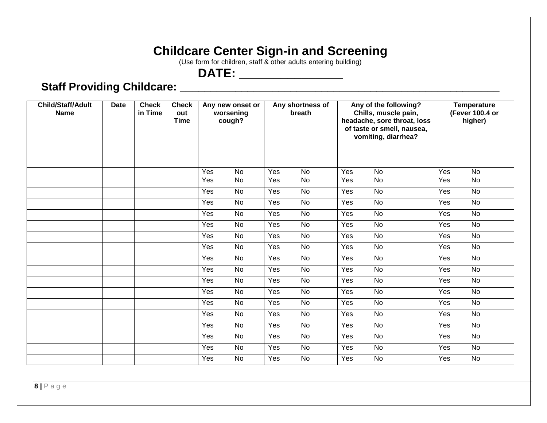## **Childcare Center Sign-in and Screening**

(Use form for children, staff & other adults entering building)

## **DATE: \_\_\_\_\_\_\_\_\_\_\_\_\_\_\_**

## **Staff Providing Childcare: \_\_\_\_\_\_\_\_\_\_\_\_\_\_\_\_\_\_\_\_\_\_\_\_\_\_\_\_\_\_\_\_\_\_\_\_\_\_\_\_\_\_\_\_\_\_\_\_\_\_\_\_**

| <b>Child/Staff/Adult</b><br><b>Name</b> | <b>Date</b> | <b>Check</b><br>in Time | <b>Check</b><br>out<br><b>Time</b> | Any new onset or<br>worsening<br>cough? | Any shortness of<br>breath | Any of the following?<br>Chills, muscle pain,<br>headache, sore throat, loss<br>of taste or smell, nausea,<br>vomiting, diarrhea? | <b>Temperature</b><br>(Fever 100.4 or<br>higher) |
|-----------------------------------------|-------------|-------------------------|------------------------------------|-----------------------------------------|----------------------------|-----------------------------------------------------------------------------------------------------------------------------------|--------------------------------------------------|
|                                         |             |                         |                                    | Yes<br>No                               | Yes<br>No                  | Yes<br>No                                                                                                                         | Yes<br>No                                        |
|                                         |             |                         |                                    | No<br>Yes                               | No<br>Yes                  | No<br>Yes                                                                                                                         | No<br>Yes                                        |
|                                         |             |                         |                                    | Yes<br><b>No</b>                        | No<br>Yes                  | No<br>Yes                                                                                                                         | Yes<br><b>No</b>                                 |
|                                         |             |                         |                                    | No<br>Yes                               | No<br>Yes                  | No<br>Yes                                                                                                                         | Yes<br><b>No</b>                                 |
|                                         |             |                         |                                    | Yes<br><b>No</b>                        | Yes<br>No                  | <b>No</b><br>Yes                                                                                                                  | <b>No</b><br>Yes                                 |
|                                         |             |                         |                                    | Yes<br>No                               | Yes<br>No                  | Yes<br>No                                                                                                                         | Yes<br>No                                        |
|                                         |             |                         |                                    | Yes<br>No                               | Yes<br>No                  | Yes<br>No                                                                                                                         | Yes<br>No                                        |
|                                         |             |                         |                                    | No<br>Yes                               | Yes<br><b>No</b>           | Yes<br><b>No</b>                                                                                                                  | Yes<br>No                                        |
|                                         |             |                         |                                    | Yes<br>No                               | No<br>Yes                  | Yes<br>No                                                                                                                         | No<br>Yes                                        |
|                                         |             |                         |                                    | Yes<br>No                               | Yes<br>No                  | $\overline{No}$<br>Yes                                                                                                            | Yes<br>No                                        |
|                                         |             |                         |                                    | No<br>Yes                               | No<br>Yes                  | Yes<br>No                                                                                                                         | No<br>Yes                                        |
|                                         |             |                         |                                    | No<br>Yes                               | <b>No</b><br>Yes           | No<br>Yes                                                                                                                         | No<br>Yes                                        |
|                                         |             |                         |                                    | Yes<br>No                               | Yes<br>No                  | Yes<br>No                                                                                                                         | No<br>Yes                                        |
|                                         |             |                         |                                    | Yes<br>No                               | No<br>Yes                  | Yes<br>No                                                                                                                         | No<br>Yes                                        |
|                                         |             |                         |                                    | Yes<br>No                               | Yes<br>No                  | <b>No</b><br>Yes                                                                                                                  | Yes<br>No                                        |
|                                         |             |                         |                                    | No<br>Yes                               | Yes<br>No                  | Yes<br>No                                                                                                                         | Yes<br>No                                        |
|                                         |             |                         |                                    | Yes<br>No                               | Yes<br>No                  | No<br>Yes                                                                                                                         | Yes<br>No                                        |
|                                         |             |                         |                                    | No<br>Yes                               | No<br>Yes                  | No<br>Yes                                                                                                                         | No<br>Yes                                        |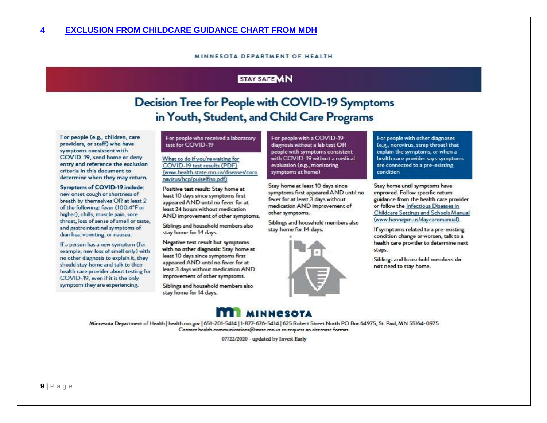#### MINNESOTA DEPARTMENT OF HEALTH

#### STAY SAFE MN

## Decision Tree for People with COVID-19 Symptoms in Youth, Student, and Child Care Programs

<span id="page-8-0"></span>For people (e.g., children, care providers, or staff) who have symptoms consistent with COVID-19, send home or deny entry and reference the exclusion criteria in this document to determine when they may return.

<span id="page-8-1"></span>Symptoms of COVID-19 include: new onset cough or shortness of breath by themselves OR at least 2 of the following: fever (100.4°F or higher), chills, muscle pain, sore throat, loss of sense of smell or taste, and gastrointestinal symptoms of diarrhea, vorniting, or nausea.

If a person has a new symptom (for example, new loss of smell only) with no other diagnosis to explain it, they should stay home and talk to their health care provider about testing for COVID-19, even if it is the only symptom they are experiencing.

#### For people who received a laboratory test for COVID-19

What to do if you're waiting for COVID-19 test results (PDF) (www.health.state.mn.us/diseases/coro navirus/hcp/puiselfiso.pdf)

Positive test result: Stay home at least 10 days since symptoms first appeared AND until no fever for at least 24 hours without medication AND improvement of other symptoms.

Siblings and household members also stay home for 14 days.

Negative test result but symptoms with no other diagnosis: Stay home at least 10 days since symptoms first appeared AND until no fever for at least 3 days without medication AND improvement of other symptoms.

Siblings and household members also stay home for 14 days.

For people with a COVID-19 diagnosis without a lab test OR people with symptoms consistent with COVID-19 without a medical evaluation (e.g., monitoring symptoms at home)

Stay home at least 10 days since symptoms first appeared AND until no fever for at least 3 days without medication AND improvement of other symptoms.

Siblings and household members also stay home for 14 days.



For people with other diagnoses (e.g., norovirus, strep throat) that explain the symptoms, or when a health care provider says symptoms are connected to a pre-existing condition

Stay home until symptoms have improved. Follow specific return guidance from the health care provider or follow the Infectious Diseases in Childcare Settings and Schools Manual (www.hennepin.us/daycaremanual).

If symptoms related to a pre-existing condition change or worsen, talk to a health care provider to determine next steps.

Siblings and household members do not need to stay home.

### **MINNESOTA**

Minnesota Department of Health | health.mn.gov | 651-201-5414 | 1-877-676-5414 | 625 Robert Street North PO Box 64975, St. Paul, MN 55164-0975 Contact health.communications@state.mn.us to request an alternate format.

07/22/2020 - updated by Invest Early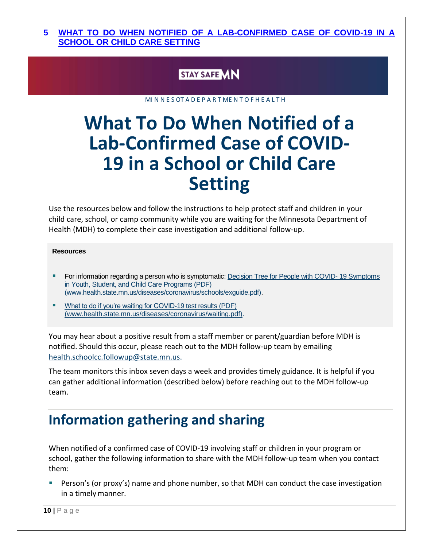#### **5 WHAT TO DO WHEN NOTIFIED OF A LAB-CONFIRMED CASE OF COVID-19 IN A SCHOOL OR CHILD CARE SETTING**

### **STAY SAFE MN**

MI N N E S OT A D E P A R T ME N T O F H E A L T H

## **What To Do When Notified of a Lab-Confirmed Case of COVID-19 in a School or Child Care Setting**

Use the resources below and follow the instructions to help protect staff and children in your child care, school, or camp community while you are waiting for the Minnesota Department of Health (MDH) to complete their case investigation and additional follow-up.

#### **Resources**

- **For information regarding a person who is symptomatic: [Decision Tree for People with COVID-](https://www.health.state.mn.us/diseases/coronavirus/schools/exguide.pdf)19 Symptoms** [in Youth, Student, and Child Care Programs \(PDF\)](https://www.health.state.mn.us/diseases/coronavirus/schools/exguide.pdf) [\(www.health.state.mn.us/diseases/coronavirus/schools/exguide.pdf\).](https://www.health.state.mn.us/diseases/coronavirus/schools/exguide.pdf)
- [What to do if you're waiting for COVID-19 test results \(PDF\)](https://www.health.state.mn.us/diseases/coronavirus/waiting.pdf) [\(www.health.state.mn.us/diseases/coronavirus/waiting.pdf\).](https://www.health.state.mn.us/diseases/coronavirus/waiting.pdf)

You may hear about a positive result from a staff member or parent/guardian before MDH is notified. Should this occur, please reach out to the MDH follow-up team by emailing [health.schoolcc.followup@state.mn.us.](mailto:health.schoolcc.followup@state.mn.us)

The team monitors this inbox seven days a week and provides timely guidance. It is helpful if you can gather additional information (described below) before reaching out to the MDH follow-up team.

## **Information gathering and sharing**

When notified of a confirmed case of COVID-19 involving staff or children in your program or school, gather the following information to share with the MDH follow-up team when you contact them:

**•** Person's (or proxy's) name and phone number, so that MDH can conduct the case investigation in a timely manner.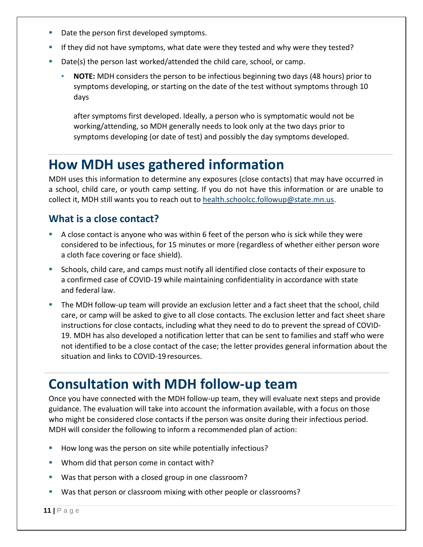- Date the person first developed symptoms.
- If they did not have symptoms, what date were they tested and why were they tested?
- Date(s) the person last worked/attended the child care, school, or camp.
	- **NOTE:** MDH considers the person to be infectious beginning two days (48 hours) prior to symptoms developing, or starting on the date of the test without symptoms through 10 days

after symptoms first developed. Ideally, a person who is symptomatic would not be working/attending, so MDH generally needs to look only at the two days prior to symptoms developing (or date of test) and possibly the day symptoms developed.

## **How MDH uses gathered information**

MDH uses this information to determine any exposures (close contacts) that may have occurred in a school, child care, or youth camp setting. If you do not have this information or are unable to collect it, MDH still wants you to reach out to [health.schoolcc.followup@state.mn.us.](mailto:health.schoolcc.followup@state.mn.us)

### **What is a close contact?**

- A close contact is anyone who was within 6 feet of the person who is sick while they were considered to be infectious, for 15 minutes or more (regardless of whether either person wore a cloth face covering or face shield).
- Schools, child care, and camps must notify all identified close contacts of their exposure to a confirmed case of COVID-19 while maintaining confidentiality in accordance with state and federal law.
- The MDH follow-up team will provide an exclusion letter and a fact sheet that the school, child care, or camp will be asked to give to all close contacts. The exclusion letter and fact sheet share instructions for close contacts, including what they need to do to prevent the spread of COVID-19. MDH has also developed a notification letter that can be sent to families and staff who were not identified to be a close contact of the case; the letter provides general information about the situation and links to COVID-19 resources.

## **Consultation with MDH follow-up team**

Once you have connected with the MDH follow-up team, they will evaluate next steps and provide guidance. The evaluation will take into account the information available, with a focus on those who might be considered close contacts if the person was onsite during their infectious period. MDH will consider the following to inform a recommended plan of action:

- How long was the person on site while potentially infectious?
- Whom did that person come in contact with?
- Was that person with a closed group in one classroom?
- Was that person or classroom mixing with other people or classrooms?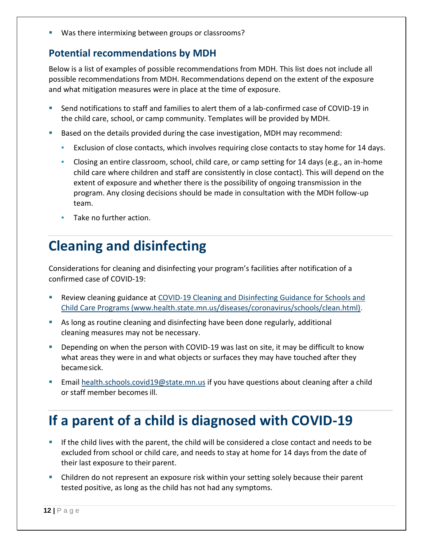Was there intermixing between groups or classrooms?

### **Potential recommendations by MDH**

Below is a list of examples of possible recommendations from MDH. This list does not include all possible recommendations from MDH. Recommendations depend on the extent of the exposure and what mitigation measures were in place at the time of exposure.

- Send notifications to staff and families to alert them of a lab-confirmed case of COVID-19 in the child care, school, or camp community. Templates will be provided by MDH.
- Based on the details provided during the case investigation, MDH may recommend:
	- Exclusion of close contacts, which involves requiring close contacts to stay home for 14 days.
	- **•** Closing an entire classroom, school, child care, or camp setting for 14 days (e.g., an in-home child care where children and staff are consistently in close contact). This will depend on the extent of exposure and whether there is the possibility of ongoing transmission in the program. Any closing decisions should be made in consultation with the MDH follow-up team.
	- Take no further action.

## **Cleaning and disinfecting**

Considerations for cleaning and disinfecting your program's facilities after notification of a confirmed case of COVID-19:

- **E** Review cleaning guidance at COVID-19 Cleaning and Disinfecting Guidance for Schools and [Child](https://www.health.state.mn.us/diseases/coronavirus/schools/clean.html) Care Programs [\(www.health.state.mn.us/diseases/coronavirus/schools/clean.html\).](https://www.health.state.mn.us/diseases/coronavirus/schools/clean.html)
- As long as routine cleaning and disinfecting have been done regularly, additional cleaning measures may not be necessary.
- Depending on when the person with COVID-19 was last on site, it may be difficult to know what areas they were in and what objects or surfaces they may have touched after they becamesick.
- **Email [health.schools.covid19@state.mn.us](mailto:health.schools.covid19@state.mn.us) if you have questions about cleaning after a child** or staff member becomesill.

## **If a parent of a child is diagnosed with COVID-19**

- **E** If the child lives with the parent, the child will be considered a close contact and needs to be excluded from school or child care, and needs to stay at home for 14 days from the date of their last exposure to their parent.
- Children do not represent an exposure risk within your setting solely because their parent tested positive, as long as the child has not had any symptoms.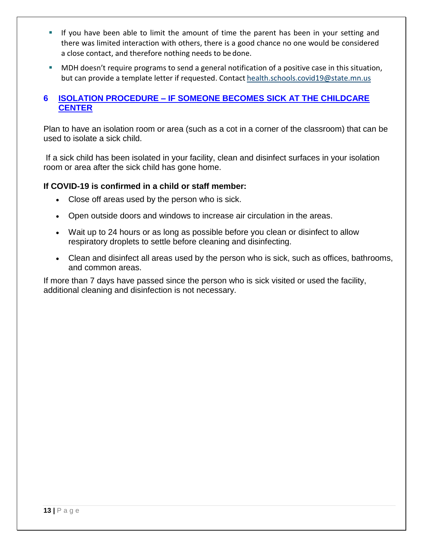- **■** If you have been able to limit the amount of time the parent has been in your setting and there was limited interaction with others, there is a good chance no one would be considered a close contact, and therefore nothing needs to be done.
- MDH doesn't require programs to send a general notification of a positive case in this situation, but can provide a template letter if requested. Contact [health.schools.covid19@state.mn.us](mailto:health.schools.covid19@state.mn.us)

#### <span id="page-12-0"></span>**6 ISOLATION PROCEDURE – IF SOMEONE BECOMES SICK AT THE CHILDCARE CENTER**

Plan to have an isolation room or area (such as a cot in a corner of the classroom) that can be used to isolate a sick child.

If a sick child has been isolated in your facility, clean and disinfect surfaces in your isolation room or area after the sick child has gone home.

#### **If COVID-19 is confirmed in a child or staff member:**

- Close off areas used by the person who is sick.
- Open outside doors and windows to increase air circulation in the areas.
- Wait up to 24 hours or as long as possible before you clean or disinfect to allow respiratory droplets to settle before cleaning and disinfecting.
- Clean and disinfect all areas used by the person who is sick, such as offices, bathrooms, and common areas.

If more than 7 days have passed since the person who is sick visited or used the facility, additional cleaning and disinfection is not necessary.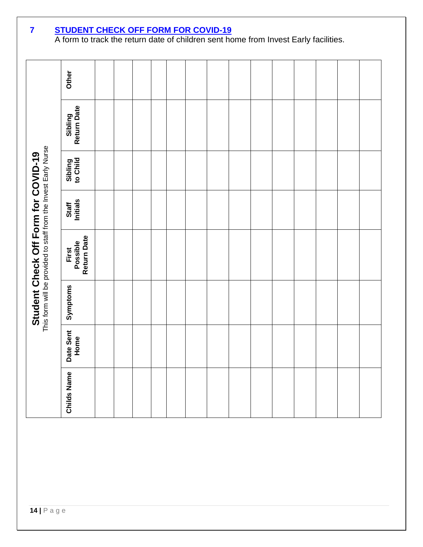|                                                                                                               | Other                            |  |  |  |  |  |  |  |
|---------------------------------------------------------------------------------------------------------------|----------------------------------|--|--|--|--|--|--|--|
|                                                                                                               | Return Date<br>Sibling           |  |  |  |  |  |  |  |
|                                                                                                               | Sibling<br>to Child              |  |  |  |  |  |  |  |
|                                                                                                               | Staff<br>Initials                |  |  |  |  |  |  |  |
| <b>Student Check Off Form for COVID-19</b><br>This form will be provided to staff from the Invest Early Nurse | Return Date<br>Possible<br>First |  |  |  |  |  |  |  |
|                                                                                                               | Symptoms                         |  |  |  |  |  |  |  |
|                                                                                                               | Date Sent<br>Home                |  |  |  |  |  |  |  |
|                                                                                                               | <b>Childs Name</b>               |  |  |  |  |  |  |  |

#### <span id="page-13-0"></span>**7 STUDENT CHECK OFF FORM FOR COVID-19**

A form to track the return date of children sent home from Invest Early facilities.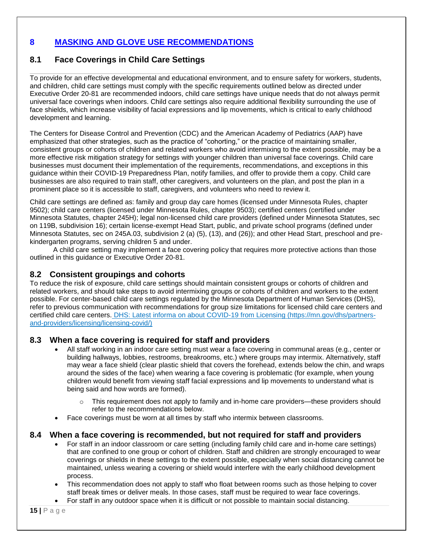#### <span id="page-14-0"></span>**8 MASKING AND GLOVE USE RECOMMENDATIONS**

#### **8.1 Face Coverings in Child Care Settings**

To provide for an effective developmental and educational environment, and to ensure safety for workers, students, and children, child care settings must comply [with the specific requirements outlined below as directed under](https://mn.gov/governor/news/executiveorders.jsp)  [Executive Order 20-81](https://mn.gov/governor/news/executiveorders.jsp) are recommended indoors, child care settings have unique needs that do not always permit universal face coverings when indoors. Child care settings also require additional flexibility surrounding the use of face shields, which increase visibility of facial expressions and lip movements, which is critical to early childhood development and learning.

The Centers for Disease Control and Prevention (CDC) and the American Academy of Pediatrics (AAP) have emphasized that other strategies, such as the practice of "cohorting," or the practice of maintaining smaller, consistent groups or cohorts of children and related workers who avoid intermixing to the extent possible, may be a more effective risk mitigation strategy for settings with younger children than universal face coverings. Child care businesses must document their implementation of the requirements, recommendations, and exceptions in this guidance within their COVID-19 Preparedness Plan, notify families, and offer to provide them a copy. Child care businesses are also required to train staff, other caregivers, and volunteers on the plan, and post the plan in a prominent place so it is accessible to staff, caregivers, and volunteers who need to review it.

Child care settings are defined as: family and group day care homes (licensed under Minnesota Rules, chapter 9502); child care centers (licensed under Minnesota Rules, chapter 9503); certified centers (certified under Minnesota Statutes, chapter 245H); legal non-licensed child care providers (defined under Minnesota Statutes, sec on 119B, subdivision 16); certain license-exempt Head Start, public, and private school programs (defined under Minnesota Statutes, sec on 245A.03, subdivision 2 (a) (5), (13), and (26)); and other Head Start, preschool and prekindergarten programs, serving children 5 and under.

A child care setting may implement a face covering policy that requires more protective actions than those outlined in this guidance or Executive Order 20-81.

#### **8.2 Consistent groupings and cohorts**

To reduce the risk of exposure, child care settings should maintain consistent groups or cohorts of children and related workers, and should take steps to avoid intermixing groups or cohorts of children and workers to the extent possible. For center-based child care settings regulated by the Minnesota Department of Human Services (DHS), refer to previous communication with recommendations for group size limitations for licensed child care centers and certified child care centers. [DHS: Latest informa on about COVID-19 from Licensing](https://mn.gov/dhs/partners-and-providers/licensing/licensing-covid/) [\(https://mn.gov/dhs/partners](https://mn.gov/dhs/partners-and-providers/licensing/licensing-covid/)[and-providers/licensing/licensing-covid/\)](https://mn.gov/dhs/partners-and-providers/licensing/licensing-covid/)

#### **8.3 When a face covering is required for staff and providers**

- All staff working in an indoor care setting must wear a face covering in communal areas (e.g., center or building hallways, lobbies, restrooms, breakrooms, etc.) where groups may intermix. Alternatively, staff may wear a face shield (clear plastic shield that covers the forehead, extends below the chin, and wraps around the sides of the face) when wearing a face covering is problematic (for example, when young children would benefit from viewing staff facial expressions and lip movements to understand what is being said and how words are formed).
	- This requirement does not apply to family and in-home care providers—these providers should refer to the recommendations below.
- Face coverings must be worn at all times by staff who intermix between classrooms.

#### **8.4 When a face covering is recommended, but not required for staff and providers**

- For staff in an indoor classroom or care setting (including family child care and in-home care settings) that are confined to one group or cohort of children. Staff and children are strongly encouraged to wear coverings or shields in these settings to the extent possible, especially when social distancing cannot be maintained, unless wearing a covering or shield would interfere with the early childhood development process.
- This recommendation does not apply to staff who float between rooms such as those helping to cover staff break times or deliver meals. In those cases, staff must be required to wear face coverings.
- For staff in any outdoor space when it is difficult or not possible to maintain social distancing.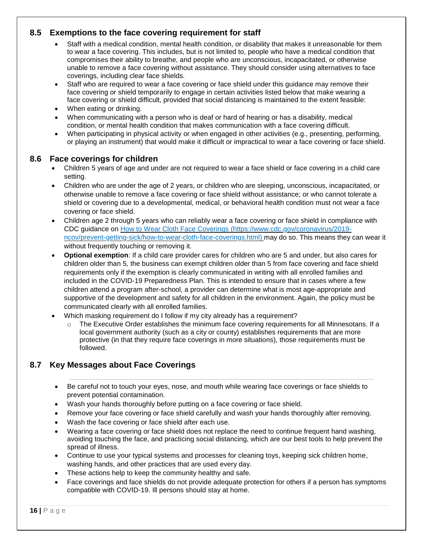#### **8.5 Exemptions to the face covering requirement for staff**

- Staff with a medical condition, mental health condition, or disability that makes it unreasonable for them to wear a face covering. This includes, but is not limited to, people who have a medical condition that compromises their ability to breathe, and people who are unconscious, incapacitated, or otherwise unable to remove a face covering without assistance. They should consider using alternatives to face coverings, including clear face shields.
- Staff who are required to wear a face covering or face shield under this guidance may remove their face covering or shield temporarily to engage in certain activities listed below that make wearing a face covering or shield difficult, provided that social distancing is maintained to the extent feasible:
- When eating or drinking.
- When communicating with a person who is deaf or hard of hearing or has a disability, medical condition, or mental health condition that makes communication with a face covering difficult.
- When participating in physical activity or when engaged in other activities (e.g., presenting, performing, or playing an instrument) that would make it difficult or impractical to wear a face covering or face shield.

#### **8.6 Face coverings for children**

- Children 5 years of age and under are not required to wear a face shield or face covering in a child care setting.
- Children who are under the age of 2 years, or children who are sleeping, unconscious, incapacitated, or otherwise unable to remove a face covering or face shield without assistance; or who cannot tolerate a shield or covering due to a developmental, medical, or behavioral health condition must not wear a face covering or face shield.
- [Children age 2 through 5 years who can reliably wear a face covering or face shield in compliance with](https://www.cdc.gov/coronavirus/2019-ncov/prevent-getting-sick/how-to-wear-cloth-face-coverings.html)  [CDC guidance on How to Wear Cloth Face Coverings](https://www.cdc.gov/coronavirus/2019-ncov/prevent-getting-sick/how-to-wear-cloth-face-coverings.html) [\(https://www.cdc.gov/coronavirus/2019](https://www.cdc.gov/coronavirus/2019-ncov/prevent-getting-sick/how-to-wear-cloth-face-coverings.html) [ncov/prevent-getting-sick/how-to-wear-cloth-face-coverings.html\) may do so. This means they can we](https://www.cdc.gov/coronavirus/2019-ncov/prevent-getting-sick/how-to-wear-cloth-face-coverings.html)ar it without frequently touching or removing it.
- **Optional exemption**: If a child care provider cares for children who are 5 and under, but also cares for children older than 5, the business can exempt children older than 5 from face covering and face shield requirements only if the exemption is clearly communicated in writing with all enrolled families and included in the COVID-19 Preparedness Plan. This is intended to ensure that in cases where a few children attend a program after-school, a provider can determine what is most age-appropriate and supportive of the development and safety for all children in the environment. Again, the policy must be communicated clearly with all enrolled families.
- Which masking requirement do I follow if my city already has a requirement?
	- $\circ$  The Executive Order establishes the minimum face covering requirements for all Minnesotans. If a local government authority (such as a city or county) establishes requirements that are more protective (in that they require face coverings in more situations), those requirements must be followed.

#### **8.7 Key Messages about Face Coverings**

- Be careful not to touch your eyes, nose, and mouth while wearing face coverings or face shields to prevent potential contamination.
- Wash your hands thoroughly before putting on a face covering or face shield.
- Remove your face covering or face shield carefully and wash your hands thoroughly after removing.
- Wash the face covering or face shield after each use.
- Wearing a face covering or face shield does not replace the need to continue frequent hand washing, avoiding touching the face, and practicing social distancing, which are our best tools to help prevent the spread of illness.
- Continue to use your typical systems and processes for cleaning toys, keeping sick children home, washing hands, and other practices that are used every day.
- These actions help to keep the community healthy and safe.
- Face coverings and face shields do not provide adequate protection for others if a person has symptoms compatible with COVID-19. Ill persons should stay at home.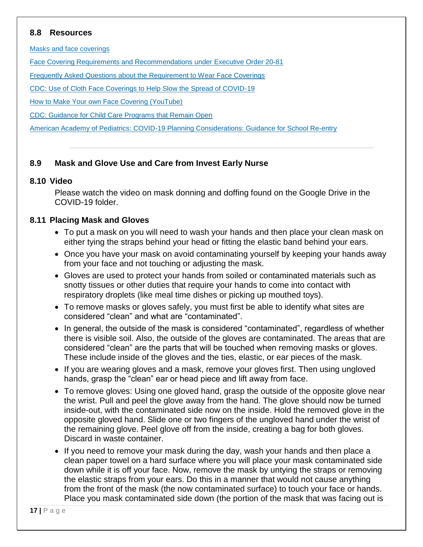#### **8.8 Resources**

[Masks and face coverings](https://www.health.state.mn.us/diseases/coronavirus/prevention.html#masks)

[Face Covering Requirements and Recommendations under Executive Order 20-81](https://www.health.state.mn.us/diseases/coronavirus/facecover.html)

[Frequently Asked Questions about the Requirement to Wear Face Coverings](https://www.health.state.mn.us/diseases/coronavirus/facecoverfaq.html)

[CDC: Use of Cloth Face Coverings to Help Slow the Spread of COVID-19](https://www.cdc.gov/coronavirus/2019-ncov/prevent-getting-sick/diy-cloth-face-coverings.html)

[How to Make Your own Face Covering \(YouTube\)](https://youtu.be/tPx1yqvJgf4)

[CDC: Guidance for Child Care Programs that Remain Open](https://www.cdc.gov/coronavirus/2019-ncov/community/schools-childcare/guidance-for-childcare.html)

[American Academy of Pediatrics: COVID-19 Planning Considerations: Guidance for School Re-entry](https://services.aap.org/en/pages/2019-novel-coronavirus-covid-19-infections/clinical-guidance/covid-19-planning-considerations-return-to-in-person-education-in-schools/)

#### **8.9 Mask and Glove Use and Care from Invest Early Nurse**

#### **8.10 Video**

Please watch the video on mask donning and doffing found on the Google Drive in the COVID-19 folder.

#### **8.11 Placing Mask and Gloves**

- To put a mask on you will need to wash your hands and then place your clean mask on either tying the straps behind your head or fitting the elastic band behind your ears.
- Once you have your mask on avoid contaminating yourself by keeping your hands away from your face and not touching or adjusting the mask.
- Gloves are used to protect your hands from soiled or contaminated materials such as snotty tissues or other duties that require your hands to come into contact with respiratory droplets (like meal time dishes or picking up mouthed toys).
- To remove masks or gloves safely, you must first be able to identify what sites are considered "clean" and what are "contaminated".
- In general, the outside of the mask is considered "contaminated", regardless of whether there is visible soil. Also, the outside of the gloves are contaminated. The areas that are considered "clean" are the parts that will be touched when removing masks or gloves. These include inside of the gloves and the ties, elastic, or ear pieces of the mask.
- If you are wearing gloves and a mask, remove your gloves first. Then using ungloved hands, grasp the "clean" ear or head piece and lift away from face.
- To remove gloves: Using one gloved hand, grasp the outside of the opposite glove near the wrist. Pull and peel the glove away from the hand. The glove should now be turned inside-out, with the contaminated side now on the inside. Hold the removed glove in the opposite gloved hand. Slide one or two fingers of the ungloved hand under the wrist of the remaining glove. Peel glove off from the inside, creating a bag for both gloves. Discard in waste container.
- If you need to remove your mask during the day, wash your hands and then place a clean paper towel on a hard surface where you will place your mask contaminated side down while it is off your face. Now, remove the mask by untying the straps or removing the elastic straps from your ears. Do this in a manner that would not cause anything from the front of the mask (the now contaminated surface) to touch your face or hands. Place you mask contaminated side down (the portion of the mask that was facing out is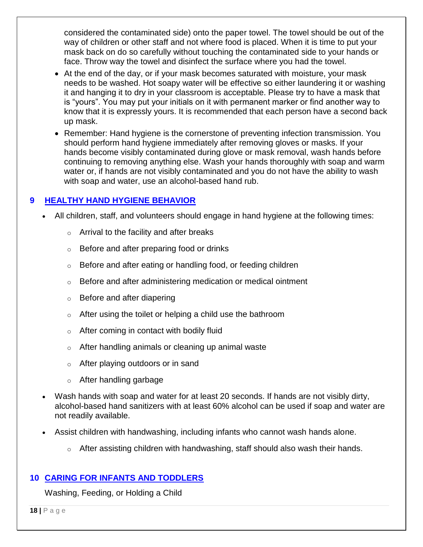considered the contaminated side) onto the paper towel. The towel should be out of the way of children or other staff and not where food is placed. When it is time to put your mask back on do so carefully without touching the contaminated side to your hands or face. Throw way the towel and disinfect the surface where you had the towel.

- At the end of the day, or if your mask becomes saturated with moisture, your mask needs to be washed. Hot soapy water will be effective so either laundering it or washing it and hanging it to dry in your classroom is acceptable. Please try to have a mask that is "yours". You may put your initials on it with permanent marker or find another way to know that it is expressly yours. It is recommended that each person have a second back up mask.
- Remember: Hand hygiene is the cornerstone of preventing infection transmission. You should perform hand hygiene immediately after removing gloves or masks. If your hands become visibly contaminated during glove or mask removal, wash hands before continuing to removing anything else. Wash your hands thoroughly with soap and warm water or, if hands are not visibly contaminated and you do not have the ability to wash with soap and water, use an alcohol-based hand rub.

#### <span id="page-17-0"></span>**9 HEALTHY HAND HYGIENE BEHAVIOR**

- All children, staff, and volunteers should engage in hand hygiene at the following times:
	- $\circ$  Arrival to the facility and after breaks
	- o Before and after preparing food or drinks
	- o Before and after eating or handling food, or feeding children
	- o Before and after administering medication or medical ointment
	- o Before and after diapering
	- o After using the toilet or helping a child use the bathroom
	- $\circ$  After coming in contact with bodily fluid
	- o After handling animals or cleaning up animal waste
	- o After playing outdoors or in sand
	- o After handling garbage
- Wash hands with soap and water for at least 20 seconds. If hands are not visibly dirty, alcohol-based hand sanitizers with at least 60% alcohol can be used if soap and water are not readily available.
- Assist children with handwashing, including infants who cannot wash hands alone.
	- o After assisting children with handwashing, staff should also wash their hands.

#### <span id="page-17-1"></span>**10 CARING FOR INFANTS AND TODDLERS**

Washing, Feeding, or Holding a Child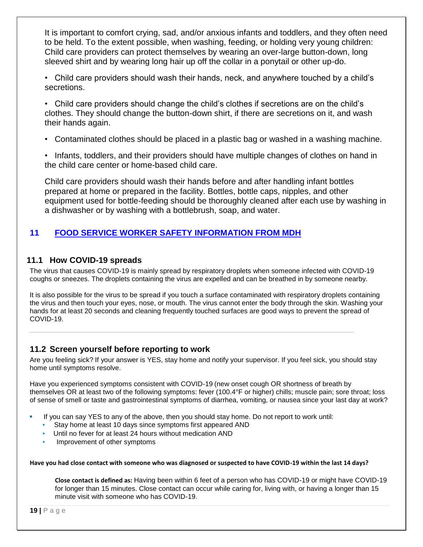It is important to comfort crying, sad, and/or anxious infants and toddlers, and they often need to be held. To the extent possible, when washing, feeding, or holding very young children: Child care providers can protect themselves by wearing an over-large button-down, long sleeved shirt and by wearing long hair up off the collar in a ponytail or other up-do.

• Child care providers should wash their hands, neck, and anywhere touched by a child's secretions.

• Child care providers should change the child's clothes if secretions are on the child's clothes. They should change the button-down shirt, if there are secretions on it, and wash their hands again.

• Contaminated clothes should be placed in a plastic bag or washed in a washing machine.

• Infants, toddlers, and their providers should have multiple changes of clothes on hand in the child care center or home-based child care.

Child care providers should wash their hands before and after handling infant bottles prepared at home or prepared in the facility. Bottles, bottle caps, nipples, and other equipment used for bottle-feeding should be thoroughly cleaned after each use by washing in a dishwasher or by washing with a bottlebrush, soap, and water.

### <span id="page-18-0"></span>**11 FOOD SERVICE WORKER SAFETY INFORMATION FROM MDH**

#### **11.1 How COVID-19 spreads**

The virus that causes COVID-19 is mainly spread by respiratory droplets when someone infected with COVID-19 coughs or sneezes. The droplets containing the virus are expelled and can be breathed in by someone nearby.

It is also possible for the virus to be spread if you touch a surface contaminated with respiratory droplets containing the virus and then touch your eyes, nose, or mouth. The virus cannot enter the body through the skin. Washing your hands for at least 20 seconds and cleaning frequently touched surfaces are good ways to prevent the spread of COVID-19.

#### **11.2 Screen yourself before reporting to work**

Are you feeling sick? If your answer is YES, stay home and notify your supervisor. If you feel sick, you should stay home until symptoms resolve.

Have you experienced symptoms consistent with COVID-19 (new onset cough OR shortness of breath by themselves OR at least two of the following symptoms: fever (100.4°F or higher) chills; muscle pain; sore throat; loss of sense of smell or taste and gastrointestinal symptoms of diarrhea, vomiting, or nausea since your last day at work?

- If you can say YES to any of the above, then you should stay home. Do not report to work until:
	- Stay home at least 10 days since symptoms first appeared AND
	- Until no fever for at least 24 hours without medication AND
	- Improvement of other symptoms

#### **Have you had close contact with someone who was diagnosed or suspected to have COVID-19 within the last 14 days?**

**Close contact is defined as:** Having been within 6 feet of a person who has COVID-19 or might have COVID-19 for longer than 15 minutes. Close contact can occur while caring for, living with, or having a longer than 15 minute visit with someone who has COVID-19.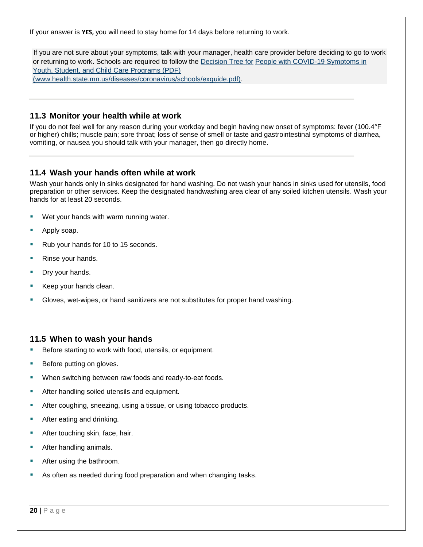If your answer is **YES,** you will need to stay home for 14 days before returning to work.

If you are not sure about your symptoms, talk with your manager, health care provider before deciding to go to work or returning to work. Schools are required to follow the [Decision Tree for](https://www.health.state.mn.us/diseases/coronavirus/schools/exguide.pdf) [People with COVID-19 Symptoms in](https://www.health.state.mn.us/diseases/coronavirus/schools/exguide.pdf)  [Youth, Student, and Child Care Programs \(PDF\)](https://www.health.state.mn.us/diseases/coronavirus/schools/exguide.pdf) [\(www.health.state.mn.us/diseases/coronavirus/schools/exguide.pdf\).](https://www.health.state.mn.us/diseases/coronavirus/schools/exguide.pdf)

**11.3 Monitor your health while at work** 

If you do not feel well for any reason during your workday and begin having new onset of symptoms: fever (100.4°F or higher) chills; muscle pain; sore throat; loss of sense of smell or taste and gastrointestinal symptoms of diarrhea, vomiting, or nausea you should talk with your manager, then go directly home.

#### **11.4 Wash your hands often while at work**

Wash your hands only in sinks designated for hand washing. Do not wash your hands in sinks used for utensils, food preparation or other services. Keep the designated handwashing area clear of any soiled kitchen utensils. Wash your hands for at least 20 seconds.

- Wet your hands with warm running water.
- Apply soap.
- Rub your hands for 10 to 15 seconds.
- Rinse your hands.
- Dry your hands.
- Keep your hands clean.
- Gloves, wet-wipes, or hand sanitizers are not substitutes for proper hand washing.

#### **11.5 When to wash your hands**

- Before starting to work with food, utensils, or equipment.
- Before putting on gloves.
- When switching between raw foods and ready-to-eat foods.
- After handling soiled utensils and equipment.
- **E** After coughing, sneezing, using a tissue, or using tobacco products.
- After eating and drinking.
- After touching skin, face, hair.
- After handling animals.
- After using the bathroom.
- As often as needed during food preparation and when changing tasks.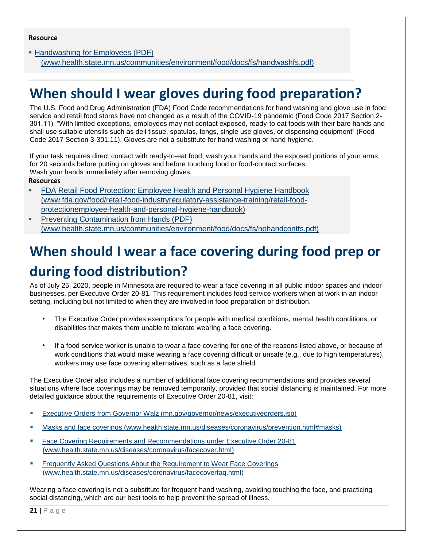[▪](https://www.health.state.mn.us/communities/environment/food/docs/fs/handwashfs.pdf) [Handwashing for Employees \(PDF\)](https://www.health.state.mn.us/communities/environment/food/docs/fs/handwashfs.pdf) [\(www.health.state.mn.us/communities/environment/food/docs/fs/handwashfs.pdf\)](https://www.health.state.mn.us/communities/environment/food/docs/fs/handwashfs.pdf)

## **When should I wear gloves during food preparation?**

The U.S. Food and Drug Administration (FDA) Food Code recommendations for hand washing and glove use in food service and retail food stores have not changed as a result of the COVID-19 pandemic (Food Code 2017 Section 2- 301.11). "With limited exceptions, employees may not contact exposed, ready-to eat foods with their bare hands and shall use suitable utensils such as deli tissue, spatulas, tongs, single use gloves, or dispensing equipment" (Food Code 2017 Section 3-301.11). Gloves are not a substitute for hand washing or hand hygiene.

If your task requires direct contact with ready-to-eat food, wash your hands and the exposed portions of your arms for 20 seconds before putting on gloves and before touching food or food-contact surfaces. Wash your hands immediately after removing gloves.

**Resources**

- **[FDA Retail Food Protection: Employee Health and Personal Hygiene Handbook](https://www.fda.gov/food/retail-food-industryregulatory-assistance-training/retail-food-protection-employee-health-and-personal-hygiene-handbook)** [\(www.fda.gov/food/retail-food-industryregulatory-assistance-training/retail-food](https://www.fda.gov/food/retail-food-industryregulatory-assistance-training/retail-food-protection-employee-health-and-personal-hygiene-handbook)[protectionemployee-health-and-personal-hygiene-handbook\)](https://www.fda.gov/food/retail-food-industryregulatory-assistance-training/retail-food-protection-employee-health-and-personal-hygiene-handbook)
- [Preventing Contamination from Hands \(PDF\)](https://www.health.state.mn.us/communities/environment/food/docs/fs/nohandcontfs.pdf) [\(www.health.state.mn.us/communities/environment/food/docs/fs/nohandcontfs.pdf\)](https://www.health.state.mn.us/communities/environment/food/docs/fs/nohandcontfs.pdf)

## **When should I wear a face covering during food prep or during food distribution?**

As of July 25, 2020, people in Minnesota are required to wear a face covering in all public indoor spaces and indoor businesses, per Executive Order 20-81. This requirement includes food service workers when at work in an indoor setting, including but not limited to when they are involved in food preparation or distribution.

- The Executive Order provides exemptions for people with medical conditions, mental health conditions, or disabilities that makes them unable to tolerate wearing a face covering.
- If a food service worker is unable to wear a face covering for one of the reasons listed above, or because of work conditions that would make wearing a face covering difficult or unsafe (e.g., due to high temperatures), workers may use face covering alternatives, such as a face shield.

The Executive Order also includes a number of additional face covering recommendations and provides several situations where face coverings may be removed temporarily, provided that social distancing is maintained. For more detailed guidance about the requirements of Executive Order 20-81, visit:

- **[Executive Orders from Governor Walz \(mn.gov/governor/news/executiveorders.jsp\)](https://mn.gov/governor/news/executiveorders.jsp)**
- Masks and face coverings (www.health.state.mn.us/diseases/coronavirus/prevention.html#masks)
- **E** [Face Covering Requirements and Recommendations under Executive Order 20-81](https://www.health.state.mn.us/diseases/coronavirus/facecover.html) [\(www.health.state.mn.us/diseases/coronavirus/facecover.html\)](https://www.health.state.mn.us/diseases/coronavirus/facecover.html)
- **Example 1 [Frequently Asked Questions About the Requirement to Wear Face Coverings](https://www.health.state.mn.us/diseases/coronavirus/facecoverfaq.html)** [\(www.health.state.mn.us/diseases/coronavirus/facecoverfaq.html\)](https://www.health.state.mn.us/diseases/coronavirus/facecoverfaq.html)

Wearing a face covering is not a substitute for frequent hand washing, avoiding touching the face, and practicing social distancing, which are our best tools to help prevent the spread of illness.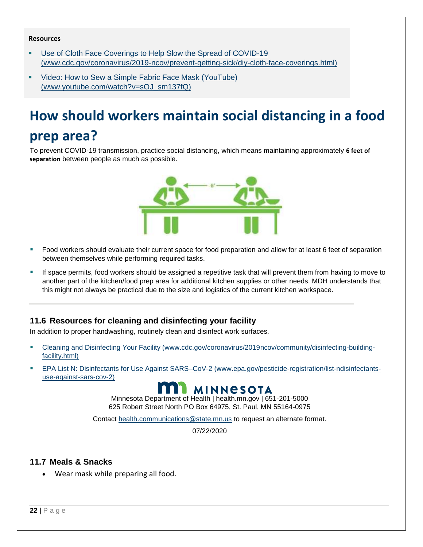#### **Resources**

- [Use of Cloth Face Coverings to Help Slow the Spread of COVID-19](https://www.cdc.gov/coronavirus/2019-ncov/prevent-getting-sick/diy-cloth-face-coverings.html) [\(www.cdc.gov/coronavirus/2019-ncov/prevent-getting-sick/diy-cloth-face-coverings.html\)](https://www.cdc.gov/coronavirus/2019-ncov/prevent-getting-sick/diy-cloth-face-coverings.html)
- Video: How to Sew a [Simple Fabric Face Mask \(YouTube\)](https://www.youtube.com/watch?v=sOJ_sm137fQ) [\(www.youtube.com/watch?v=sOJ\\_sm137fQ\)](https://www.youtube.com/watch?v=sOJ_sm137fQ)

## **How should workers maintain social distancing in a food prep area?**

To prevent COVID-19 transmission, practice social distancing, which means maintaining approximately **6 feet of separation** between people as much as possible.



- Food workers should evaluate their current space for food preparation and allow for at least 6 feet of separation between themselves while performing required tasks.
- **·** If space permits, food workers should be assigned a repetitive task that will prevent them from having to move to another part of the kitchen/food prep area for additional kitchen supplies or other needs. MDH understands that this might not always be practical due to the size and logistics of the current kitchen workspace.

#### **11.6 Resources for cleaning and disinfecting your facility**

In addition to proper handwashing, routinely clean and disinfect work surfaces.

- [Cleaning and Disinfecting Your Facility \(www.cdc.gov/coronavirus/2019ncov/community/disinfecting-building](https://www.cdc.gov/coronavirus/2019-ncov/community/disinfecting-building-facility.html)[facility.html\)](https://www.cdc.gov/coronavirus/2019-ncov/community/disinfecting-building-facility.html)
- [EPA List N: Disinfectants for Use Against SARS–CoV-2 \(www.epa.gov/pesticide-registration/list-ndisinfectants](https://www.epa.gov/pesticide-registration/list-n-disinfectants-use-against-sars-cov-2)[use-against-sars-cov-2\)](https://www.epa.gov/pesticide-registration/list-n-disinfectants-use-against-sars-cov-2)



Minnesota Department of Health | health.mn.gov | 651-201-5000 625 Robert Street North PO Box 64975, St. Paul, MN 55164-0975

Contact health.communications@state.mn.us to request an alternate format.

07/22/2020

#### **11.7 Meals & Snacks**

• Wear mask while preparing all food.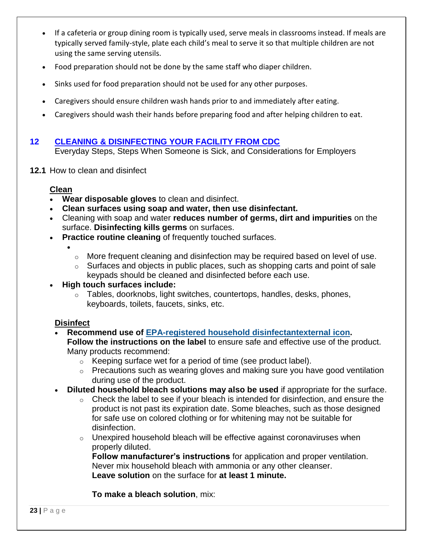- If a cafeteria or group dining room is typically used, serve meals in classrooms instead. If meals are typically served family-style, plate each child's meal to serve it so that multiple children are not using the same serving utensils.
- Food preparation should not be done by the same staff who diaper children.
- Sinks used for food preparation should not be used for any other purposes.
- Caregivers should ensure children wash hands prior to and immediately after eating.
- Caregivers should wash their hands before preparing food and after helping children to eat.

#### <span id="page-22-0"></span>**12 CLEANING & DISINFECTING YOUR FACILITY FROM CDC**

Everyday Steps, Steps When Someone is Sick, and Considerations for Employers

**12.1** How to clean and disinfect

#### **Clean**

•

- **Wear disposable gloves** to clean and disinfect.
- **Clean surfaces using soap and water, then use disinfectant.**
- Cleaning with soap and water **reduces number of germs, dirt and impurities** on the surface. **Disinfecting kills germs** on surfaces.
- **Practice routine cleaning** of frequently touched surfaces.
	- o More frequent cleaning and disinfection may be required based on level of use.
	- $\circ$  Surfaces and objects in public places, such as shopping carts and point of sale keypads should be cleaned and disinfected before each use.

#### • **High touch surfaces include:**

o Tables, doorknobs, light switches, countertops, handles, desks, phones, keyboards, toilets, faucets, sinks, etc.

#### **Disinfect**

- **Recommend use of [EPA-registered household disinfectantexternal](https://www.epa.gov/pesticide-registration/list-n-disinfectants-use-against-sars-cov-2) icon. Follow the instructions on the label** to ensure safe and effective use of the product. Many products recommend:
	- o Keeping surface wet for a period of time (see product label).
	- o Precautions such as wearing gloves and making sure you have good ventilation during use of the product.
- **Diluted household bleach solutions may also be used** if appropriate for the surface.
	- o Check the label to see if your bleach is intended for disinfection, and ensure the product is not past its expiration date. Some bleaches, such as those designed for safe use on colored clothing or for whitening may not be suitable for disinfection.
	- o Unexpired household bleach will be effective against coronaviruses when properly diluted.

**Follow manufacturer's instructions** for application and proper ventilation. Never mix household bleach with ammonia or any other cleanser. **Leave solution** on the surface for **at least 1 minute.**

**To make a bleach solution**, mix: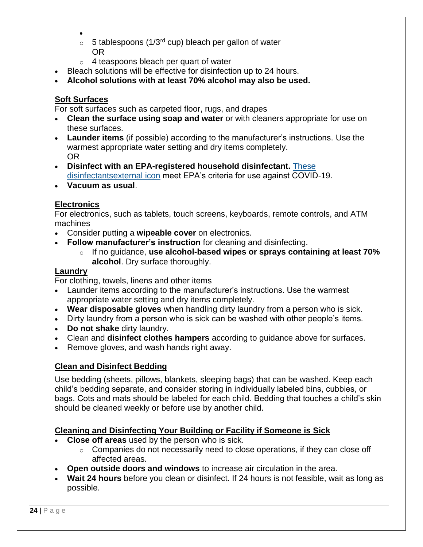- $\circ$  5 tablespoons (1/3<sup>rd</sup> cup) bleach per gallon of water OR
- o 4 teaspoons bleach per quart of water
- Bleach solutions will be effective for disinfection up to 24 hours.
- **Alcohol solutions with at least 70% alcohol may also be used.**

#### **Soft Surfaces**

For soft surfaces such as carpeted floor, rugs, and drapes

- **Clean the surface using soap and water** or with cleaners appropriate for use on these surfaces.
- **Launder items** (if possible) according to the manufacturer's instructions. Use the warmest appropriate water setting and dry items completely. OR
- **Disinfect with an EPA-registered household disinfectant.** [These](https://www.epa.gov/pesticide-registration/list-n-disinfectants-use-against-sars-cov-2)  [disinfectantsexternal](https://www.epa.gov/pesticide-registration/list-n-disinfectants-use-against-sars-cov-2) icon meet EPA's criteria for use against COVID-19.
- **[Vacuum as usual](https://www.cdc.gov/coronavirus/2019-ncov/faq.html#Cleaning-and-Disinfection)**.

#### **Electronics**

For electronics, such as tablets, touch screens, keyboards, remote controls, and ATM machines

- Consider putting a **wipeable cover** on electronics.
- **Follow manufacturer's instruction** for cleaning and disinfecting.
	- o If no guidance, **use alcohol-based wipes or sprays containing at least 70% alcohol**. Dry surface thoroughly.

#### **Laundry**

For clothing, towels, linens and other items

- Launder items according to the manufacturer's instructions. Use the warmest appropriate water setting and dry items completely.
- **Wear disposable gloves** when handling dirty laundry from a person who is sick.
- Dirty laundry from a person who is sick can be washed with other people's items.
- **Do not shake** dirty laundry.
- Clean and **disinfect clothes hampers** according to guidance above for surfaces.
- Remove gloves, and wash hands right away.

#### **Clean and Disinfect Bedding**

Use bedding (sheets, pillows, blankets, sleeping bags) that can be washed. Keep each child's bedding separate, and consider storing in individually labeled bins, cubbies, or bags. Cots and mats should be labeled for each child. Bedding that touches a child's skin should be cleaned weekly or before use by another child.

#### **Cleaning and Disinfecting Your Building or Facility if Someone is Sick**

- **Close off areas** used by the person who is sick.
	- o Companies do not necessarily need to close operations, if they can close off affected areas.
- **Open outside doors and windows** to increase air circulation in the area.
- **Wait 24 hours** before you clean or disinfect. If 24 hours is not feasible, wait as long as possible.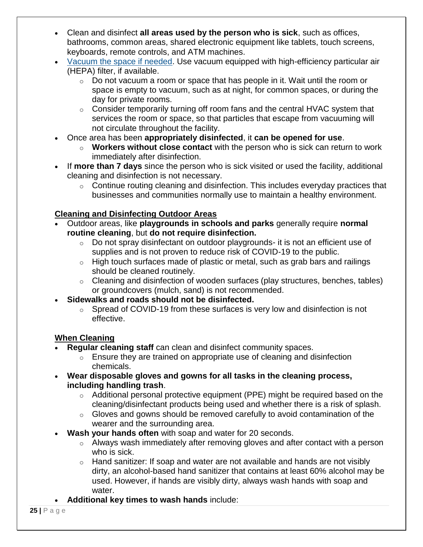- Clean and disinfect **all areas used by the person who is sick**, such as offices, bathrooms, common areas, shared electronic equipment like tablets, touch screens, keyboards, remote controls, and ATM machines.
- [Vacuum the space if needed.](https://www.cdc.gov/coronavirus/2019-ncov/faq.html#Cleaning-and-Disinfection) Use vacuum equipped with high-efficiency particular air (HEPA) filter, if available.
	- $\circ$  Do not vacuum a room or space that has people in it. Wait until the room or space is empty to vacuum, such as at night, for common spaces, or during the day for private rooms.
	- o Consider temporarily turning off room fans and the central HVAC system that services the room or space, so that particles that escape from vacuuming will not circulate throughout the facility.
- Once area has been **appropriately disinfected**, it **can be opened for use**.
	- o **Workers without close contact** with the person who is sick can return to work immediately after disinfection.
- If **more than 7 days** since the person who is sick visited or used the facility, additional cleaning and disinfection is not necessary.
	- o Continue routing cleaning and disinfection. This includes everyday practices that businesses and communities normally use to maintain a healthy environment.

### **Cleaning and Disinfecting Outdoor Areas**

- Outdoor areas, like **playgrounds in schools and parks** generally require **normal routine cleaning**, but **do not require disinfection.**
	- o Do not spray disinfectant on outdoor playgrounds- it is not an efficient use of supplies and is not proven to reduce risk of COVID-19 to the public.
	- o High touch surfaces made of plastic or metal, such as grab bars and railings should be cleaned routinely.
	- o Cleaning and disinfection of wooden surfaces (play structures, benches, tables) or groundcovers (mulch, sand) is not recommended.
- **Sidewalks and roads should not be disinfected.**
	- o Spread of COVID-19 from these surfaces is very low and disinfection is not effective.

#### **When Cleaning**

- **Regular cleaning staff** can clean and disinfect community spaces.
	- $\circ$  Ensure they are trained on appropriate use of cleaning and disinfection chemicals.
- **Wear disposable gloves and gowns for all tasks in the cleaning process, including handling trash**.
	- o Additional personal protective equipment (PPE) might be required based on the cleaning/disinfectant products being used and whether there is a risk of splash.
	- o Gloves and gowns should be removed carefully to avoid contamination of the wearer and the surrounding area.
- **Wash your hands often** with soap and water for 20 seconds.
	- o Always wash immediately after removing gloves and after contact with a person who is sick.
	- $\circ$  Hand sanitizer: If soap and water are not available and hands are not visibly dirty, an alcohol-based hand sanitizer that contains at least 60% alcohol may be used. However, if hands are visibly dirty, always wash hands with soap and water.
- **Additional key times to wash hands** include: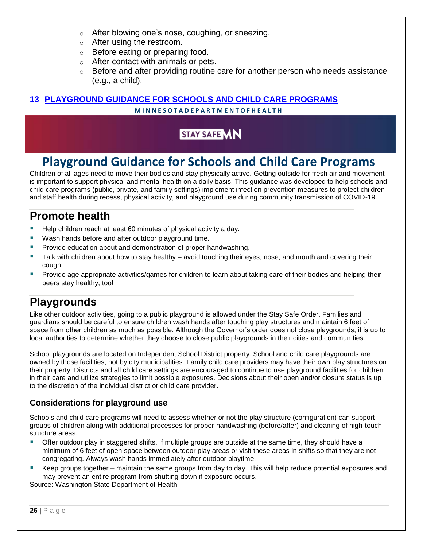- o After blowing one's nose, coughing, or sneezing.
- o After using the restroom.
- o Before eating or preparing food.
- o After contact with animals or pets.
- $\circ$  Before and after providing routine care for another person who needs assistance (e.g., a child).

#### <span id="page-25-0"></span>**13 PLAYGROUND GUIDANCE FOR SCHOOLS AND CHILD CARE PROGRAMS**

#### **M I N N E S O T A D E P A R T M E N T O F H E A L T H**

### **STAY SAFE MN**

## **Playground Guidance for Schools and Child Care Programs**

Children of all ages need to move their bodies and stay physically active. Getting outside for fresh air and movement is important to support physical and mental health on a daily basis. This guidance was developed to help schools and child care programs (public, private, and family settings) implement infection prevention measures to protect children and staff health during recess, physical activity, and playground use during community transmission of COVID-19.

## **Promote health**

- Help children reach at least 60 minutes of physical activity a day.
- Wash hands before and after outdoor playground time.
- Provide education about and demonstration of proper handwashing.
- Talk with children about how to stay healthy avoid touching their eyes, nose, and mouth and covering their cough.
- Provide age appropriate activities/games for children to learn about taking care of their bodies and helping their peers stay healthy, too!

## **Playgrounds**

Like other outdoor activities, going to a public playground is allowed under the Stay Safe Order. Families and guardians should be careful to ensure children wash hands after touching play structures and maintain 6 feet of space from other children as much as possible. Although the Governor's order does not close playgrounds, it is up to local authorities to determine whether they choose to close public playgrounds in their cities and communities.

School playgrounds are located on Independent School District property. School and child care playgrounds are owned by those facilities, not by city municipalities. Family child care providers may have their own play structures on their property. Districts and all child care settings are encouraged to continue to use playground facilities for children in their care and utilize strategies to limit possible exposures. Decisions about their open and/or closure status is up to the discretion of the individual district or child care provider.

#### **Considerations for playground use**

Schools and child care programs will need to assess whether or not the play structure (configuration) can support groups of children along with additional processes for proper handwashing (before/after) and cleaning of high-touch structure areas.

- Offer outdoor play in staggered shifts. If multiple groups are outside at the same time, they should have a minimum of 6 feet of open space between outdoor play areas or visit these areas in shifts so that they are not congregating. Always wash hands immediately after outdoor playtime.
- Keep groups together maintain the same groups from day to day. This will help reduce potential exposures and may prevent an entire program from shutting down if exposure occurs.

Source: Washington State Department of Health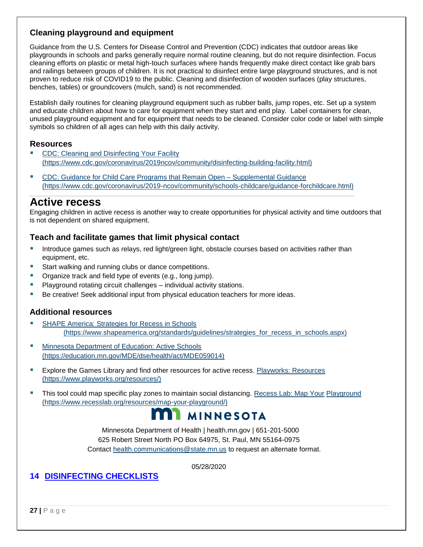#### **Cleaning playground and equipment**

Guidance from the U.S. Centers for Disease Control and Prevention (CDC) indicates that outdoor areas like playgrounds in schools and parks generally require normal routine cleaning, but do not require disinfection. Focus cleaning efforts on plastic or metal high-touch surfaces where hands frequently make direct contact like grab bars and railings between groups of children. It is not practical to disinfect entire large playground structures, and is not proven to reduce risk of COVID19 to the public. Cleaning and disinfection of wooden surfaces (play structures, benches, tables) or groundcovers (mulch, sand) is not recommended.

Establish daily routines for cleaning playground equipment such as rubber balls, jump ropes, etc. Set up a system and educate children about how to care for equipment when they start and end play. Label containers for clean, unused playground equipment and for equipment that needs to be cleaned. Consider color code or label with simple symbols so children of all ages can help with this daily activity.

#### **Resources**

- CDC: Cleaning and Disinfecting Your Facility [\(https://www.cdc.gov/coronavirus/2019ncov/community/disinfecting-building-facility.html\)](https://www.cdc.gov/coronavirus/2019-ncov/community/disinfecting-building-facility.html)
- [CDC: Guidance for Child Care Programs that Remain Open –](https://www.cdc.gov/coronavirus/2019-ncov/community/schools-childcare/guidance-for-childcare.html) Suppl[e](https://www.cdc.gov/coronavirus/2019-ncov/community/schools-childcare/guidance-for-childcare.html)mental Guidance [\(https://www.cdc.gov/coronavirus/2019-ncov/community/schools-childcare/guidance-forchildcare.html\)](https://www.cdc.gov/coronavirus/2019-ncov/community/schools-childcare/guidance-for-childcare.html)

#### **Active recess**

Engaging children in active recess is another way to create opportunities for physical activity and time outdoors that is not dependent on shared equipment.

#### **Teach and facilitate games that limit physical contact**

- **■** Introduce games such as relays, red light/green light, obstacle courses based on activities rather than equipment, etc.
- Start walking and running clubs or dance competitions.
- Organize track and field type of events (e.g., long jump).
- Playground rotating circuit challenges individual activity stations.
- Be creative! Seek additional input from physical education teachers for more ideas.

#### **Additional resources**

- [SHAPE America: Strategies for Recess in Schools](https://www.shapeamerica.org/standards/guidelines/strategies_for_recess_in_schools.aspx) [\(https://www.shapeamerica.org/standards/guidelines/strategies\\_for\\_recess\\_in\\_schools.aspx\)](https://www.shapeamerica.org/standards/guidelines/strategies_for_recess_in_schools.aspx)
- [Minnesota Department of Education: Active Schools](https://education.mn.gov/MDE/dse/health/act/MDE059014) [\(https://education.mn.gov/MDE/dse/health/act/MDE059014\)](https://education.mn.gov/MDE/dse/health/act/MDE059014)
- Explore the Games Library and find other resources for active recess. [Playworks: Resources](https://www.playworks.org/resources/) [\(https://www.playworks.org/resources/\)](https://www.playworks.org/resources/)
- **.** This tool could map specific play zones to maintain social distancing. [Recess Lab: Map Your](https://www.recesslab.org/resources/map-your-playground/) Playground [\(https://www.recesslab.org/resources/map-your-playground/\)](https://www.recesslab.org/resources/map-your-playground/)

## **NN MINNESOTA**

Minnesota Department of Health | health.mn.gov | 651-201-5000 625 Robert Street North PO Box 64975, St. Paul, MN 55164-0975 Contact health.communications@state.mn.us to request an alternate format.

05/28/2020

#### <span id="page-26-0"></span>**14 DISINFECTING CHECKLISTS**

**27 |** P a g e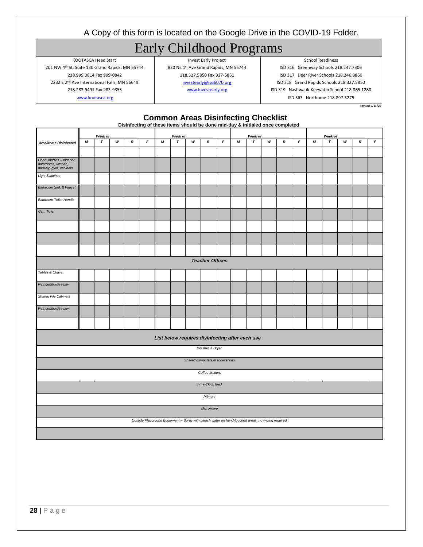#### A Copy of this form is located on the Google Drive in the COVID-19 Folder.

## Early Childhood Programs

KOOTASCA Head Start **Invest Early Project** Communication School Readiness 201 NW 4<sup>th</sup> St; Suite 130 Grand Rapids, MN 55744 820 NE 1st Ave Grand Rapids, MN 55744 ISD 316 Greenway Schools 218.247.7306

218.999.0814 Fax 999-0842 218.327.5850 Fax 327-5851 ISD 317 Deer River Schools 218.246.8860 2232 E 2<sup>nd</sup> Ave International Falls, MN 56649 **[investearly@isd6070.org](mailto:investearly@isd6070.org)** ISD 318 Grand Rapids Schools 218.327.5850 218.283.9491 Fax 283-9855 [www.investearly.org](http://www.investearly.org/) ISD 319 Nashwauk-Keewatin School 218.885.1280 [www.kootasca.org](http://www.kootasca.org/) **ISD 363 Northome 218.897.5275** 

**Revised 5/11/20**

**Common Areas Disinfecting Checklist**

|                                                                           |   |              |   |                     |              |         | Disinfecting of these items should be done mid-day & initialed once completed                    |   |                                |   |         |              |   |                  |                  |         |              |   |                  |                  |
|---------------------------------------------------------------------------|---|--------------|---|---------------------|--------------|---------|--------------------------------------------------------------------------------------------------|---|--------------------------------|---|---------|--------------|---|------------------|------------------|---------|--------------|---|------------------|------------------|
|                                                                           |   | Week of      |   |                     |              | Week of |                                                                                                  |   |                                |   | Week of |              |   |                  |                  | Week of |              |   |                  |                  |
| <b>Area/Items Disinfected</b>                                             | М | $\pmb{\tau}$ | W | $\pmb{\mathcal{R}}$ | $\mathbf{F}$ | М       | $\pmb{\tau}$                                                                                     | W | $\pmb{\mathcal{R}}$            | F | М       | $\pmb{\tau}$ | w | $\boldsymbol{R}$ | $\pmb{\digamma}$ | М       | $\pmb{\tau}$ | W | $\boldsymbol{R}$ | $\boldsymbol{F}$ |
|                                                                           |   |              |   |                     |              |         |                                                                                                  |   |                                |   |         |              |   |                  |                  |         |              |   |                  |                  |
|                                                                           |   |              |   |                     |              |         |                                                                                                  |   |                                |   |         |              |   |                  |                  |         |              |   |                  |                  |
| Door Handles - exterior,<br>bathrooms, kitchen,<br>hallway, gym, cabinets |   |              |   |                     |              |         |                                                                                                  |   |                                |   |         |              |   |                  |                  |         |              |   |                  |                  |
| <b>Light Switches</b>                                                     |   |              |   |                     |              |         |                                                                                                  |   |                                |   |         |              |   |                  |                  |         |              |   |                  |                  |
| <b>Bathroom Sink &amp; Faucet</b>                                         |   |              |   |                     |              |         |                                                                                                  |   |                                |   |         |              |   |                  |                  |         |              |   |                  |                  |
| <b>Bathroom Toilet Handle</b>                                             |   |              |   |                     |              |         |                                                                                                  |   |                                |   |         |              |   |                  |                  |         |              |   |                  |                  |
| Gym Toys                                                                  |   |              |   |                     |              |         |                                                                                                  |   |                                |   |         |              |   |                  |                  |         |              |   |                  |                  |
|                                                                           |   |              |   |                     |              |         |                                                                                                  |   |                                |   |         |              |   |                  |                  |         |              |   |                  |                  |
|                                                                           |   |              |   |                     |              |         |                                                                                                  |   |                                |   |         |              |   |                  |                  |         |              |   |                  |                  |
|                                                                           |   |              |   |                     |              |         |                                                                                                  |   |                                |   |         |              |   |                  |                  |         |              |   |                  |                  |
|                                                                           |   |              |   |                     |              |         |                                                                                                  |   | <b>Teacher Offices</b>         |   |         |              |   |                  |                  |         |              |   |                  |                  |
| Tables & Chairs                                                           |   |              |   |                     |              |         |                                                                                                  |   |                                |   |         |              |   |                  |                  |         |              |   |                  |                  |
|                                                                           |   |              |   |                     |              |         |                                                                                                  |   |                                |   |         |              |   |                  |                  |         |              |   |                  |                  |
| Refrigerator/Freezer                                                      |   |              |   |                     |              |         |                                                                                                  |   |                                |   |         |              |   |                  |                  |         |              |   |                  |                  |
| <b>Shared File Cabinets</b>                                               |   |              |   |                     |              |         |                                                                                                  |   |                                |   |         |              |   |                  |                  |         |              |   |                  |                  |
| Refrigerator/Freezer                                                      |   |              |   |                     |              |         |                                                                                                  |   |                                |   |         |              |   |                  |                  |         |              |   |                  |                  |
|                                                                           |   |              |   |                     |              |         |                                                                                                  |   |                                |   |         |              |   |                  |                  |         |              |   |                  |                  |
|                                                                           |   |              |   |                     |              |         | List below requires disinfecting after each use                                                  |   |                                |   |         |              |   |                  |                  |         |              |   |                  |                  |
|                                                                           |   |              |   |                     |              |         |                                                                                                  |   | Washer & Dryer                 |   |         |              |   |                  |                  |         |              |   |                  |                  |
|                                                                           |   |              |   |                     |              |         |                                                                                                  |   | Shared computers & accessories |   |         |              |   |                  |                  |         |              |   |                  |                  |
|                                                                           |   |              |   |                     |              |         |                                                                                                  |   | Coffee Makers                  |   |         |              |   |                  |                  |         |              |   |                  |                  |
| Time Clock Ipad                                                           |   |              |   |                     |              |         |                                                                                                  |   |                                |   |         |              |   |                  |                  |         |              |   |                  |                  |
| Printers                                                                  |   |              |   |                     |              |         |                                                                                                  |   |                                |   |         |              |   |                  |                  |         |              |   |                  |                  |
|                                                                           |   |              |   |                     |              |         |                                                                                                  |   | Microwave                      |   |         |              |   |                  |                  |         |              |   |                  |                  |
|                                                                           |   |              |   |                     |              |         | Outside Playground Equipment - Spray with bleach water on hand-touched areas, no wiping required |   |                                |   |         |              |   |                  |                  |         |              |   |                  |                  |
|                                                                           |   |              |   |                     |              |         |                                                                                                  |   |                                |   |         |              |   |                  |                  |         |              |   |                  |                  |
|                                                                           |   |              |   |                     |              |         |                                                                                                  |   |                                |   |         |              |   |                  |                  |         |              |   |                  |                  |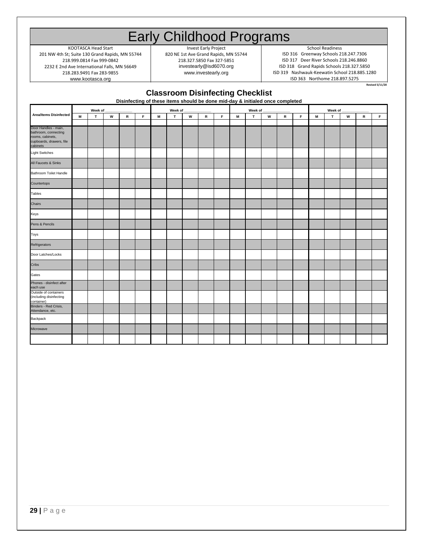## Early Childhood Programs

www.kootasca.org **ISD 363 Northome 218.897.5275** 2232 E 2nd Ave International Falls, MN 56649 investearly@isd6070.org 218.283.9491 Fax 283-9855 201 NW 4th St; Suite 130 Grand Rapids, MN 55744

KOOTASCA Head Start School Readiness<br>
t; Suite 130 Grand Rapids, MN 55744 820 NE 1st Ave Grand Rapids, MN 55744 SED 316 Greenway Schools 218.247.7306

www.investearly.org | ISD 319 Nashwauk-Keewatin School 218.885.1280 218.999.0814 Fax 999-0842 218.99 218.327.5850 Fax 327-5851 ISD 317 Deer River Schools 218.246.8860<br>218.927.5850 Investearly@isd6070.org ISD 318 Grand Rapids Schools 218.327.5850

**Revised 5/11/20**

## **29 <br>
29 <br>
29 <br>
29 <br>
29 <br>
29 <br>
29 Post<br>
29 <br>
29 Post<br>
29 Post<br>
29 Post<br>
29 Post<br>
29 Post<br>
29 Post<br>
29 Post<br>
29 Post<br>
29 Post<br>
29 Post<br>
29 <b>Post**<br>
29 **Post**<br>
29 **Post**<br>
29 **Post**<br>
29 **Post**<br>
29 **Post**<br>
29 **Post**<br>
29 **Post**<br> por Handles - m athroom, connecting rooms, cabinets, cupboards, drawers, file .<br>abinets Light Switches All Faucets & Sinks Bathroom Toilet Handle Countertops Tables Chairs Keys Pens & Pencils Toys Refrigerators Door Latches/Locks **Cribs** Gates Phones - disinfect after each use Outside of containers ncluding disinfecting container) Binders - Red Crisis, Attendance, etc. Backpack Microwave **Week of \_\_\_\_\_\_\_\_\_\_\_\_\_\_ Week of \_\_\_\_\_\_\_\_\_\_\_\_\_\_ Week of \_\_\_\_\_\_\_\_\_\_\_\_\_\_ Week of \_\_\_\_\_\_\_\_\_\_\_\_\_\_ Classroom Disinfecting Checklist Disinfecting of these items should be done mid-day & initialed once completed Area/Items Disinfected**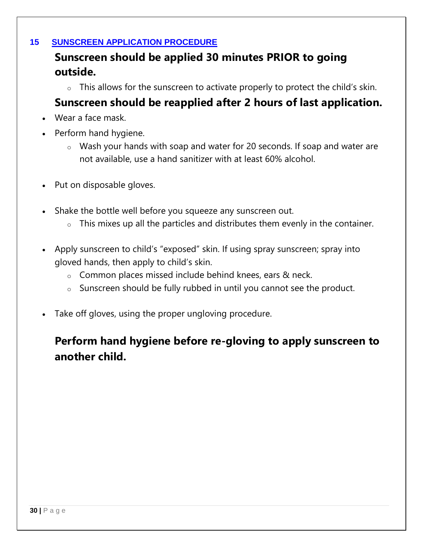### **15 SUNSCREEN APPLICATION PROCEDURE**

## <span id="page-29-0"></span>**Sunscreen should be applied 30 minutes PRIOR to going outside.**

o This allows for the sunscreen to activate properly to protect the child's skin.

## **Sunscreen should be reapplied after 2 hours of last application.**

- Wear a face mask.
- Perform hand hygiene.
	- o Wash your hands with soap and water for 20 seconds. If soap and water are not available, use a hand sanitizer with at least 60% alcohol.
- Put on disposable gloves.
- Shake the bottle well before you squeeze any sunscreen out.
	- o This mixes up all the particles and distributes them evenly in the container.
- Apply sunscreen to child's "exposed" skin. If using spray sunscreen; spray into gloved hands, then apply to child's skin.
	- o Common places missed include behind knees, ears & neck.
	- o Sunscreen should be fully rubbed in until you cannot see the product.
- Take off gloves, using the proper ungloving procedure.

## **Perform hand hygiene before re-gloving to apply sunscreen to another child.**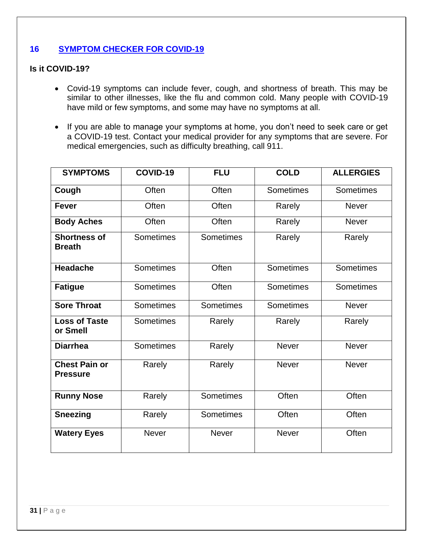#### <span id="page-30-0"></span>**16 SYMPTOM CHECKER FOR COVID-19**

#### **Is it COVID-19?**

- Covid-19 symptoms can include fever, cough, and shortness of breath. This may be similar to other illnesses, like the flu and common cold. Many people with COVID-19 have mild or few symptoms, and some may have no symptoms at all.
- If you are able to manage your symptoms at home, you don't need to seek care or get a COVID-19 test. Contact your medical provider for any symptoms that are severe. For medical emergencies, such as difficulty breathing, call 911.

| <b>SYMPTOMS</b>                         | COVID-19         | <b>FLU</b>       | <b>COLD</b>      | <b>ALLERGIES</b> |
|-----------------------------------------|------------------|------------------|------------------|------------------|
| Cough                                   | Often            | Often            | <b>Sometimes</b> | <b>Sometimes</b> |
| <b>Fever</b>                            | Often            | Often            | Rarely           | <b>Never</b>     |
| <b>Body Aches</b>                       | Often            | Often            | Rarely           | <b>Never</b>     |
| <b>Shortness of</b><br><b>Breath</b>    | <b>Sometimes</b> | <b>Sometimes</b> | Rarely           | Rarely           |
| <b>Headache</b>                         | <b>Sometimes</b> | Often            | <b>Sometimes</b> | <b>Sometimes</b> |
| <b>Fatigue</b>                          | <b>Sometimes</b> | Often            | <b>Sometimes</b> | Sometimes        |
| <b>Sore Throat</b>                      | <b>Sometimes</b> | Sometimes        | <b>Sometimes</b> | <b>Never</b>     |
| <b>Loss of Taste</b><br>or Smell        | <b>Sometimes</b> | Rarely           | Rarely           | Rarely           |
| <b>Diarrhea</b>                         | <b>Sometimes</b> | Rarely           | <b>Never</b>     | <b>Never</b>     |
| <b>Chest Pain or</b><br><b>Pressure</b> | Rarely           | Rarely           | <b>Never</b>     | <b>Never</b>     |
| <b>Runny Nose</b>                       | Rarely           | <b>Sometimes</b> | Often            | Often            |
| <b>Sneezing</b>                         | Rarely           | Sometimes        | Often            | Often            |
| <b>Watery Eyes</b>                      | <b>Never</b>     | <b>Never</b>     | <b>Never</b>     | Often            |